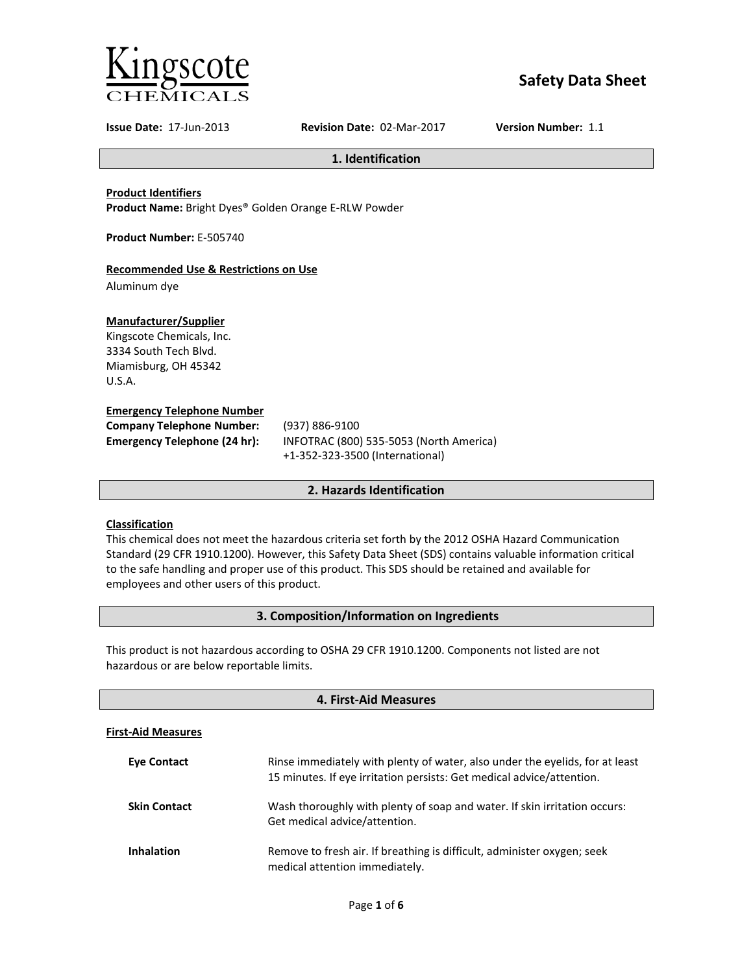

# **Safety Data Sheet**

**Issue Date:** 17-Jun-2013 **Revision Date:** 02-Mar-2017 **Version Number:** 1.1

**1. Identification**

**Product Identifiers**

**Product Name:** Bright Dyes® Golden Orange E-RLW Powder

**Product Number:** E-505740

## **Recommended Use & Restrictions on Use**

Aluminum dye

## **Manufacturer/Supplier**

Kingscote Chemicals, Inc. 3334 South Tech Blvd. Miamisburg, OH 45342 U.S.A.

#### **Emergency Telephone Number**

| <b>Company Telephone Number:</b>    | (937)        |
|-------------------------------------|--------------|
| <b>Emergency Telephone (24 hr):</b> | <b>INFOT</b> |
|                                     |              |

**Company Telephone Number:** (937) 886-9100 **Emergency Telephone (24 hr):** INFOTRAC (800) 535-5053 (North America) +1-352-323-3500 (International)

## **2. Hazards Identification**

## **Classification**

This chemical does not meet the hazardous criteria set forth by the 2012 OSHA Hazard Communication Standard (29 CFR 1910.1200). However, this Safety Data Sheet (SDS) contains valuable information critical to the safe handling and proper use of this product. This SDS should be retained and available for employees and other users of this product.

## **3. Composition/Information on Ingredients**

This product is not hazardous according to OSHA 29 CFR 1910.1200. Components not listed are not hazardous or are below reportable limits.

| 4. First-Aid Measures     |                                                                                                                                                       |  |
|---------------------------|-------------------------------------------------------------------------------------------------------------------------------------------------------|--|
| <b>First-Aid Measures</b> |                                                                                                                                                       |  |
| <b>Eve Contact</b>        | Rinse immediately with plenty of water, also under the eyelids, for at least<br>15 minutes. If eye irritation persists: Get medical advice/attention. |  |
| <b>Skin Contact</b>       | Wash thoroughly with plenty of soap and water. If skin irritation occurs:<br>Get medical advice/attention.                                            |  |
| <b>Inhalation</b>         | Remove to fresh air. If breathing is difficult, administer oxygen; seek<br>medical attention immediately.                                             |  |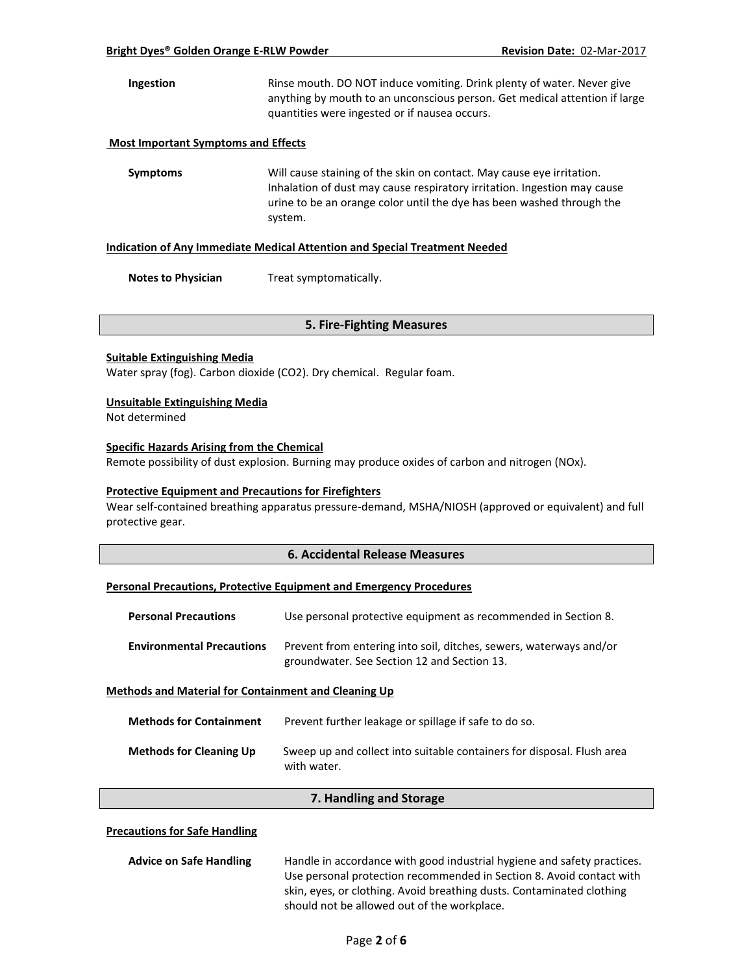**Ingestion** Rinse mouth. DO NOT induce vomiting. Drink plenty of water. Never give anything by mouth to an unconscious person. Get medical attention if large quantities were ingested or if nausea occurs.

### **Most Important Symptoms and Effects**

**Symptoms** Will cause staining of the skin on contact. May cause eye irritation. Inhalation of dust may cause respiratory irritation. Ingestion may cause urine to be an orange color until the dye has been washed through the system.

#### **Indication of Any Immediate Medical Attention and Special Treatment Needed**

**Notes to Physician** Treat symptomatically.

#### **5. Fire-Fighting Measures**

#### **Suitable Extinguishing Media**

Water spray (fog). Carbon dioxide (CO2). Dry chemical. Regular foam.

#### **Unsuitable Extinguishing Media**

Not determined

## **Specific Hazards Arising from the Chemical**

Remote possibility of dust explosion. Burning may produce oxides of carbon and nitrogen (NOx).

#### **Protective Equipment and Precautions for Firefighters**

Wear self-contained breathing apparatus pressure-demand, MSHA/NIOSH (approved or equivalent) and full protective gear.

## **6. Accidental Release Measures**

#### **Personal Precautions, Protective Equipment and Emergency Procedures**

| <b>Personal Precautions</b>                                 | Use personal protective equipment as recommended in Section 8.                                                    |  |
|-------------------------------------------------------------|-------------------------------------------------------------------------------------------------------------------|--|
| <b>Environmental Precautions</b>                            | Prevent from entering into soil, ditches, sewers, waterways and/or<br>groundwater. See Section 12 and Section 13. |  |
| <b>Methods and Material for Containment and Cleaning Up</b> |                                                                                                                   |  |

| <b>Methods for Containment</b> | Prevent further leakage or spillage if safe to do so.                                 |
|--------------------------------|---------------------------------------------------------------------------------------|
| <b>Methods for Cleaning Up</b> | Sweep up and collect into suitable containers for disposal. Flush area<br>with water. |

#### **7. Handling and Storage**

#### **Precautions for Safe Handling**

| <b>Advice on Safe Handling</b> | Handle in accordance with good industrial hygiene and safety practices. |
|--------------------------------|-------------------------------------------------------------------------|
|                                | Use personal protection recommended in Section 8. Avoid contact with    |
|                                | skin, eyes, or clothing. Avoid breathing dusts. Contaminated clothing   |
|                                | should not be allowed out of the workplace.                             |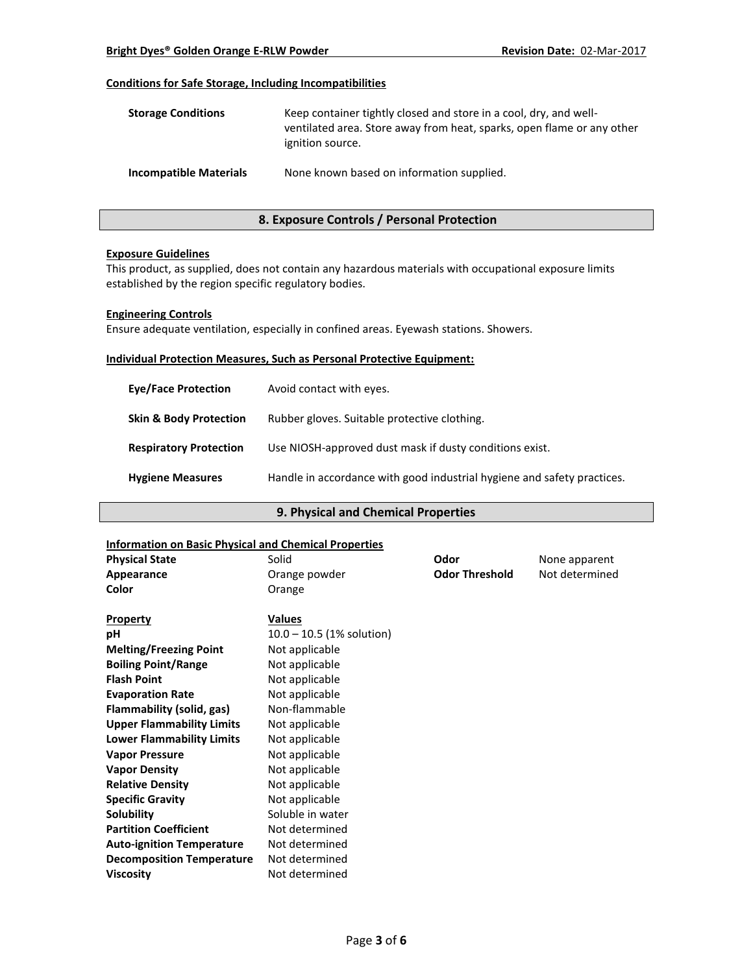## **Conditions for Safe Storage, Including Incompatibilities**

| <b>Storage Conditions</b>     | Keep container tightly closed and store in a cool, dry, and well-<br>ventilated area. Store away from heat, sparks, open flame or any other<br>ignition source. |
|-------------------------------|-----------------------------------------------------------------------------------------------------------------------------------------------------------------|
| <b>Incompatible Materials</b> | None known based on information supplied.                                                                                                                       |

## **8. Exposure Controls / Personal Protection**

## **Exposure Guidelines**

This product, as supplied, does not contain any hazardous materials with occupational exposure limits established by the region specific regulatory bodies.

#### **Engineering Controls**

Ensure adequate ventilation, especially in confined areas. Eyewash stations. Showers.

#### **Individual Protection Measures, Such as Personal Protective Equipment:**

| <b>Eve/Face Protection</b>        | Avoid contact with eyes.                                                |
|-----------------------------------|-------------------------------------------------------------------------|
| <b>Skin &amp; Body Protection</b> | Rubber gloves. Suitable protective clothing.                            |
| <b>Respiratory Protection</b>     | Use NIOSH-approved dust mask if dusty conditions exist.                 |
| <b>Hygiene Measures</b>           | Handle in accordance with good industrial hygiene and safety practices. |

## **9. Physical and Chemical Properties**

#### **Information on Basic Physical and Chemical Properties**

| <b>Physical State</b>            | Solid                       | Odor                  | None apparent  |
|----------------------------------|-----------------------------|-----------------------|----------------|
| <b>Appearance</b>                | Orange powder               | <b>Odor Threshold</b> | Not determined |
| Color                            | Orange                      |                       |                |
| <b>Property</b>                  | <b>Values</b>               |                       |                |
| рH                               | $10.0 - 10.5$ (1% solution) |                       |                |
| <b>Melting/Freezing Point</b>    | Not applicable              |                       |                |
| <b>Boiling Point/Range</b>       | Not applicable              |                       |                |
| <b>Flash Point</b>               | Not applicable              |                       |                |
| <b>Evaporation Rate</b>          | Not applicable              |                       |                |
| <b>Flammability (solid, gas)</b> | Non-flammable               |                       |                |
| <b>Upper Flammability Limits</b> | Not applicable              |                       |                |
| <b>Lower Flammability Limits</b> | Not applicable              |                       |                |
| <b>Vapor Pressure</b>            | Not applicable              |                       |                |
| <b>Vapor Density</b>             | Not applicable              |                       |                |
| <b>Relative Density</b>          | Not applicable              |                       |                |
| <b>Specific Gravity</b>          | Not applicable              |                       |                |
| Solubility                       | Soluble in water            |                       |                |
| <b>Partition Coefficient</b>     | Not determined              |                       |                |
| <b>Auto-ignition Temperature</b> | Not determined              |                       |                |
| <b>Decomposition Temperature</b> | Not determined              |                       |                |
| <b>Viscosity</b>                 | Not determined              |                       |                |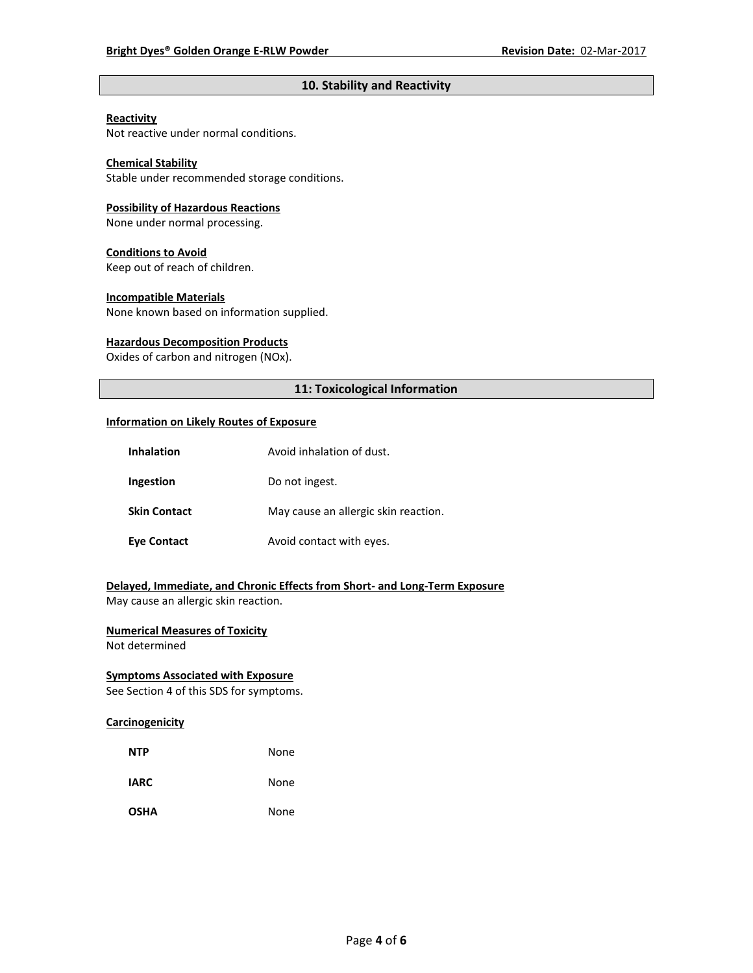## **10. Stability and Reactivity**

#### **Reactivity**

Not reactive under normal conditions.

## **Chemical Stability**

Stable under recommended storage conditions.

#### **Possibility of Hazardous Reactions**

None under normal processing.

#### **Conditions to Avoid**

Keep out of reach of children.

#### **Incompatible Materials**

None known based on information supplied.

#### **Hazardous Decomposition Products**

Oxides of carbon and nitrogen (NOx).

## **11: Toxicological Information**

#### **Information on Likely Routes of Exposure**

| <b>Inhalation</b>   | Avoid inhalation of dust.            |
|---------------------|--------------------------------------|
| Ingestion           | Do not ingest.                       |
| <b>Skin Contact</b> | May cause an allergic skin reaction. |
| <b>Eye Contact</b>  | Avoid contact with eyes.             |

## **Delayed, Immediate, and Chronic Effects from Short- and Long-Term Exposure**

May cause an allergic skin reaction.

## **Numerical Measures of Toxicity**

Not determined

## **Symptoms Associated with Exposure**

See Section 4 of this SDS for symptoms.

## **Carcinogenicity**

| <b>NTP</b>  | None |
|-------------|------|
| <b>IARC</b> | None |
| <b>OSHA</b> | None |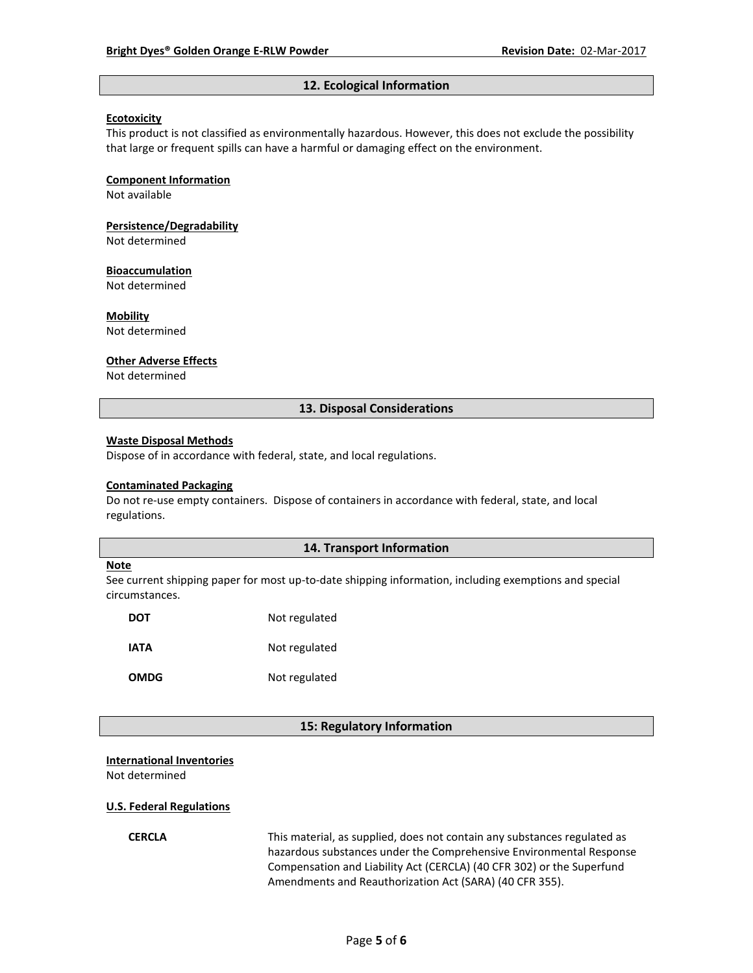#### **12. Ecological Information**

#### **Ecotoxicity**

This product is not classified as environmentally hazardous. However, this does not exclude the possibility that large or frequent spills can have a harmful or damaging effect on the environment.

#### **Component Information**

Not available

# **Persistence/Degradability**

Not determined

#### **Bioaccumulation**

Not determined

#### **Mobility**

Not determined

#### **Other Adverse Effects**

Not determined

## **13. Disposal Considerations**

#### **Waste Disposal Methods**

Dispose of in accordance with federal, state, and local regulations.

#### **Contaminated Packaging**

Do not re-use empty containers.Dispose of containers in accordance with federal, state, and local regulations.

### **14. Transport Information**

#### **Note**

See current shipping paper for most up-to-date shipping information, including exemptions and special circumstances.

| DOT         | Not regulated |
|-------------|---------------|
| IATA        | Not regulated |
| <b>OMDG</b> | Not regulated |

#### **15: Regulatory Information**

#### **International Inventories**

Not determined

#### **U.S. Federal Regulations**

**CERCLA** This material, as supplied, does not contain any substances regulated as hazardous substances under the Comprehensive Environmental Response Compensation and Liability Act (CERCLA) (40 CFR 302) or the Superfund Amendments and Reauthorization Act (SARA) (40 CFR 355).